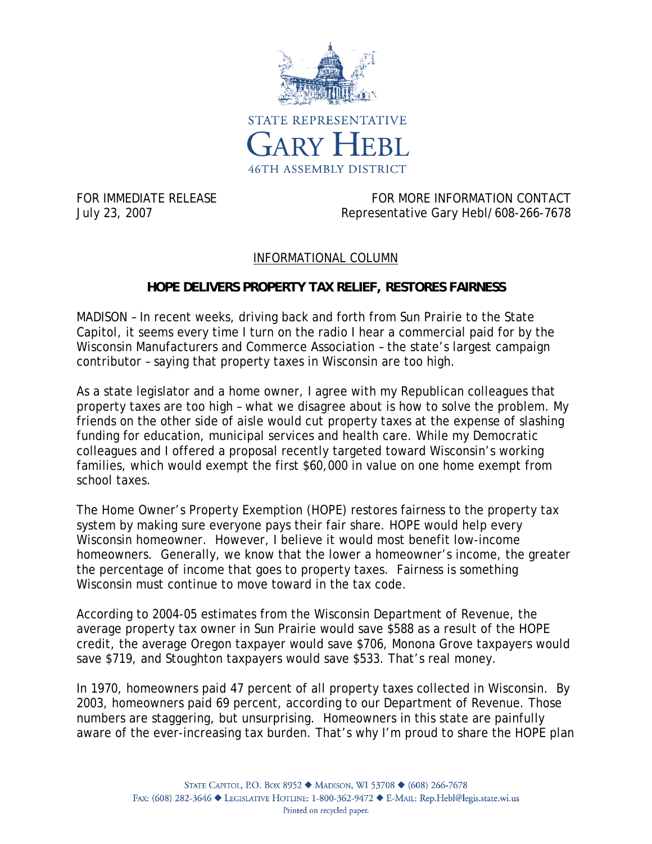

FOR IMMEDIATE RELEASE FOR MORE INFORMATION CONTACT July 23, 2007 Representative Gary Hebl/608-266-7678

## INFORMATIONAL COLUMN

## **HOPE DELIVERS PROPERTY TAX RELIEF, RESTORES FAIRNESS**

MADISON – In recent weeks, driving back and forth from Sun Prairie to the State Capitol, it seems every time I turn on the radio I hear a commercial paid for by the Wisconsin Manufacturers and Commerce Association – the state's largest campaign contributor – saying that property taxes in Wisconsin are too high.

As a state legislator and a home owner, I agree with my Republican colleagues that property taxes are too high – what we disagree about is how to solve the problem. My friends on the other side of aisle would cut property taxes at the expense of slashing funding for education, municipal services and health care. While my Democratic colleagues and I offered a proposal recently targeted toward Wisconsin's working families, which would exempt the first \$60,000 in value on one home exempt from school taxes.

The Home Owner's Property Exemption (HOPE) restores fairness to the property tax system by making sure everyone pays their fair share. HOPE would help every Wisconsin homeowner. However, I believe it would most benefit low-income homeowners. Generally, we know that the lower a homeowner's income, the greater the percentage of income that goes to property taxes. Fairness is something Wisconsin must continue to move toward in the tax code.

According to 2004-05 estimates from the Wisconsin Department of Revenue, the average property tax owner in Sun Prairie would save \$588 as a result of the HOPE credit, the average Oregon taxpayer would save \$706, Monona Grove taxpayers would save \$719, and Stoughton taxpayers would save \$533. That's real money.

In 1970, homeowners paid 47 percent of all property taxes collected in Wisconsin. By 2003, homeowners paid 69 percent, according to our Department of Revenue. Those numbers are staggering, but unsurprising. Homeowners in this state are painfully aware of the ever-increasing tax burden. That's why I'm proud to share the HOPE plan